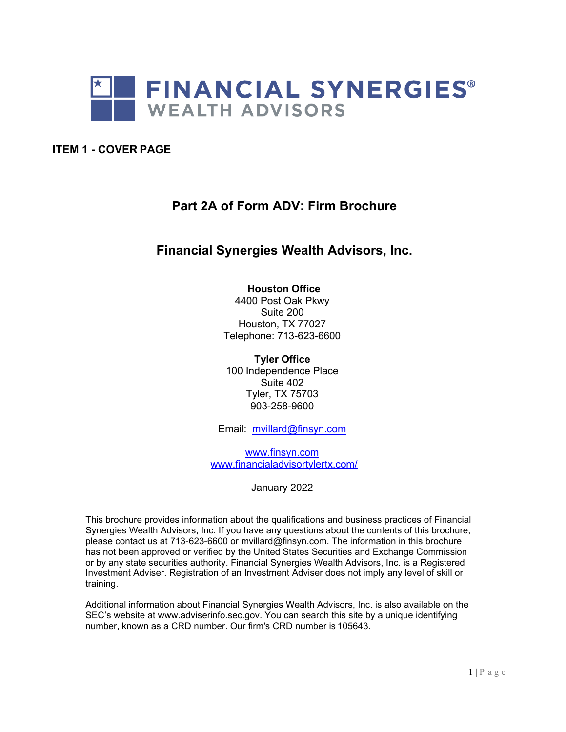

### <span id="page-0-0"></span>**ITEM 1 - COVER PAGE**

# **Part 2A of Form ADV: Firm Brochure**

# **Financial Synergies Wealth Advisors, Inc.**

#### **Houston Office**

4400 Post Oak Pkwy Suite 200 Houston, TX 77027 Telephone: 713-623-6600

**Tyler Office** 100 Independence Place Suite 402 Tyler, TX 75703 903-258-9600

Email: [mvillard@finsyn.com](mailto:mvillard@finsyn.com)

[www.finsyn.com](http://www.finsyn.com/)  [www.financialadvisortylertx.com/](http://www.financialadvisortylertx.com/)

January 2022

This brochure provides information about the qualifications and business practices of Financial Synergies Wealth Advisors, Inc. If you have any questions about the contents of this brochure, please contact us at 713-623-6600 or [mvillard@finsyn.com. The in](mailto:mminter@finsyn.com)formation in this brochure has not been approved or verified by the United States Securities and Exchange Commission or by any state securities authority. Financial Synergies Wealth Advisors, Inc. is a Registered Investment Adviser. Registration of an Investment Adviser does not imply any level of skill or training.

Additional information about Financial Synergies Wealth Advisors, Inc. is also available on the SEC's websi[te at www.a](http://www.adviserinfo.sec.gov/)dvi[serinfo.sec.gov. Yo](http://www.adviserinfo.sec.gov/)u can search this site by a unique identifying number, known as a CRD number. Our firm's CRD number is 105643.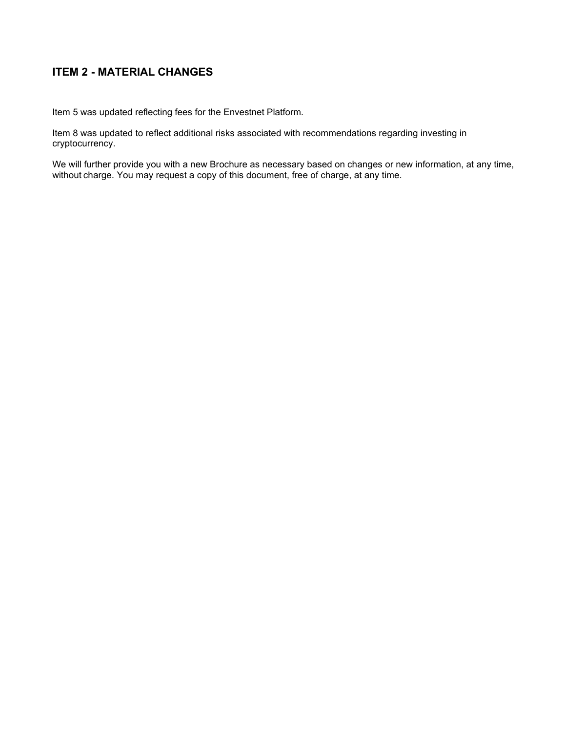# <span id="page-1-0"></span>**ITEM 2 - MATERIAL CHANGES**

Item 5 was updated reflecting fees for the Envestnet Platform.

Item 8 was updated to reflect additional risks associated with recommendations regarding investing in cryptocurrency.

We will further provide you with a new Brochure as necessary based on changes or new information, at any time, without charge. You may request a copy of this document, free of charge, at any time.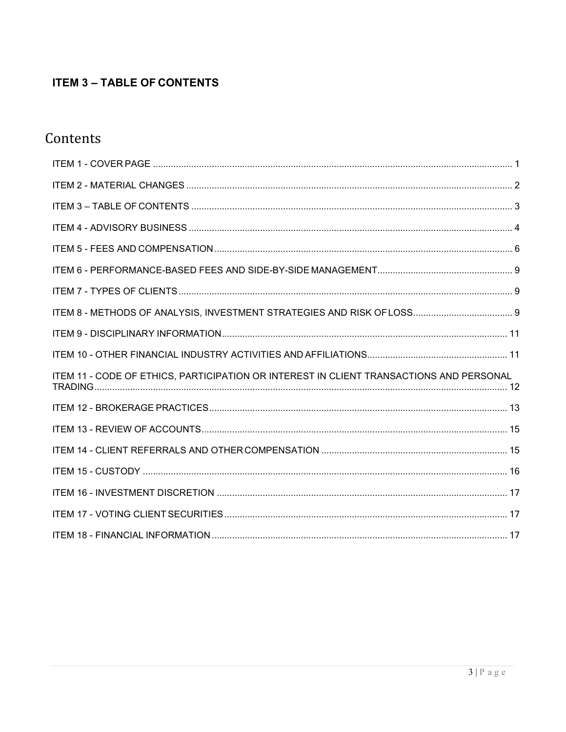# <span id="page-2-0"></span>**ITEM 3 - TABLE OF CONTENTS**

# Contents

| ITEM 11 - CODE OF ETHICS, PARTICIPATION OR INTEREST IN CLIENT TRANSACTIONS AND PERSONAL |  |
|-----------------------------------------------------------------------------------------|--|
|                                                                                         |  |
|                                                                                         |  |
|                                                                                         |  |
|                                                                                         |  |
|                                                                                         |  |
|                                                                                         |  |
|                                                                                         |  |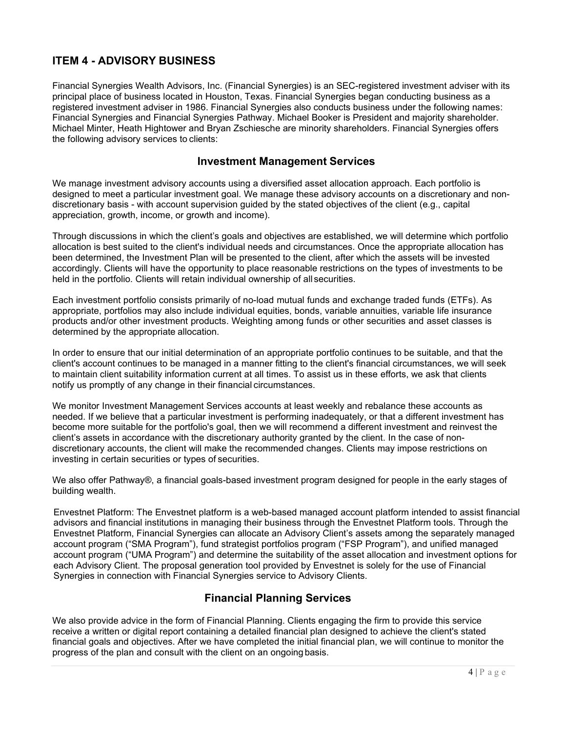# <span id="page-3-0"></span>**ITEM 4 - ADVISORY BUSINESS**

Financial Synergies Wealth Advisors, Inc. (Financial Synergies) is an SEC-registered investment adviser with its principal place of business located in Houston, Texas. Financial Synergies began conducting business as a registered investment adviser in 1986. Financial Synergies also conducts business under the following names: Financial Synergies and Financial Synergies Pathway. Michael Booker is President and majority shareholder. Michael Minter, Heath Hightower and Bryan Zschiesche are minority shareholders. Financial Synergies offers the following advisory services to clients:

### **Investment Management Services**

We manage investment advisory accounts using a diversified asset allocation approach. Each portfolio is designed to meet a particular investment goal. We manage these advisory accounts on a discretionary and nondiscretionary basis - with account supervision guided by the stated objectives of the client (e.g., capital appreciation, growth, income, or growth and income).

Through discussions in which the client's goals and objectives are established, we will determine which portfolio allocation is best suited to the client's individual needs and circumstances. Once the appropriate allocation has been determined, the Investment Plan will be presented to the client, after which the assets will be invested accordingly. Clients will have the opportunity to place reasonable restrictions on the types of investments to be held in the portfolio. Clients will retain individual ownership of all securities.

Each investment portfolio consists primarily of no-load mutual funds and exchange traded funds (ETFs). As appropriate, portfolios may also include individual equities, bonds, variable annuities, variable life insurance products and/or other investment products. Weighting among funds or other securities and asset classes is determined by the appropriate allocation.

In order to ensure that our initial determination of an appropriate portfolio continues to be suitable, and that the client's account continues to be managed in a manner fitting to the client's financial circumstances, we will seek to maintain client suitability information current at all times. To assist us in these efforts, we ask that clients notify us promptly of any change in their financial circumstances.

We monitor Investment Management Services accounts at least weekly and rebalance these accounts as needed. If we believe that a particular investment is performing inadequately, or that a different investment has become more suitable for the portfolio's goal, then we will recommend a different investment and reinvest the client's assets in accordance with the discretionary authority granted by the client. In the case of nondiscretionary accounts, the client will make the recommended changes. Clients may impose restrictions on investing in certain securities or types of securities.

We also offer Pathway®, a financial goals-based investment program designed for people in the early stages of building wealth.

Envestnet Platform: The Envestnet platform is a web-based managed account platform intended to assist financial advisors and financial institutions in managing their business through the Envestnet Platform tools. Through the Envestnet Platform, Financial Synergies can allocate an Advisory Client's assets among the separately managed account program ("SMA Program"), fund strategist portfolios program ("FSP Program"), and unified managed account program ("UMA Program") and determine the suitability of the asset allocation and investment options for each Advisory Client. The proposal generation tool provided by Envestnet is solely for the use of Financial Synergies in connection with Financial Synergies service to Advisory Clients.

# **Financial Planning Services**

We also provide advice in the form of Financial Planning. Clients engaging the firm to provide this service receive a written or digital report containing a detailed financial plan designed to achieve the client's stated financial goals and objectives. After we have completed the initial financial plan, we will continue to monitor the progress of the plan and consult with the client on an ongoing basis.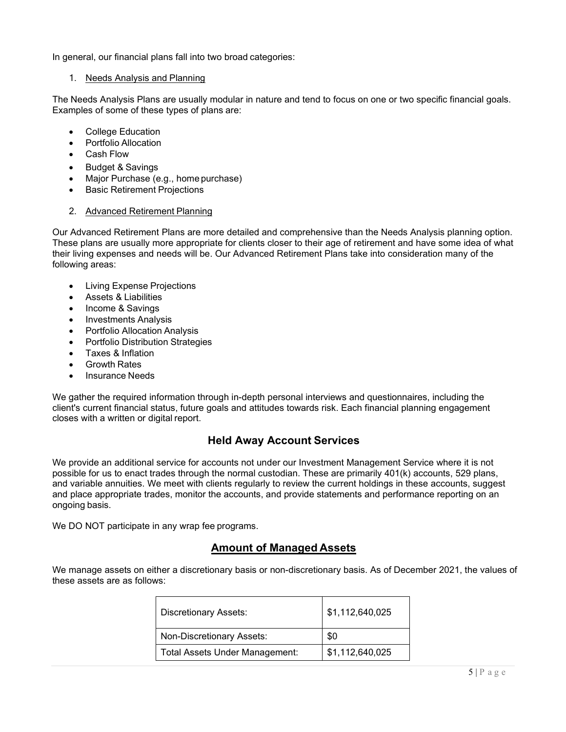In general, our financial plans fall into two broad categories:

#### 1. Needs Analysis and Planning

The Needs Analysis Plans are usually modular in nature and tend to focus on one or two specific financial goals. Examples of some of these types of plans are:

- College Education
- Portfolio Allocation
- Cash Flow
- Budget & Savings
- Major Purchase (e.g., home purchase)
- Basic Retirement Projections

#### 2. Advanced Retirement Planning

Our Advanced Retirement Plans are more detailed and comprehensive than the Needs Analysis planning option. These plans are usually more appropriate for clients closer to their age of retirement and have some idea of what their living expenses and needs will be. Our Advanced Retirement Plans take into consideration many of the following areas:

- Living Expense Projections
- Assets & Liabilities
- Income & Savings
- Investments Analysis
- Portfolio Allocation Analysis
- Portfolio Distribution Strategies
- Taxes & Inflation
- Growth Rates
- Insurance Needs

We gather the required information through in-depth personal interviews and questionnaires, including the client's current financial status, future goals and attitudes towards risk. Each financial planning engagement closes with a written or digital report.

# **Held Away Account Services**

We provide an additional service for accounts not under our Investment Management Service where it is not possible for us to enact trades through the normal custodian. These are primarily 401(k) accounts, 529 plans, and variable annuities. We meet with clients regularly to review the current holdings in these accounts, suggest and place appropriate trades, monitor the accounts, and provide statements and performance reporting on an ongoing basis.

We DO NOT participate in any wrap fee programs.

# **Amount of Managed Assets**

We manage assets on either a discretionary basis or non-discretionary basis. As of December 2021, the values of these assets are as follows:

| <b>Discretionary Assets:</b>   | \$1,112,640,025 |
|--------------------------------|-----------------|
| Non-Discretionary Assets:      | \$0             |
| Total Assets Under Management: | \$1,112,640,025 |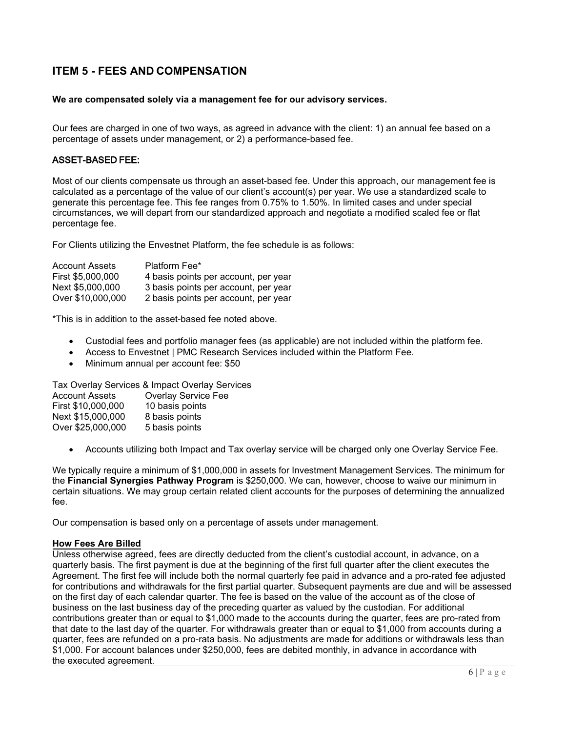# <span id="page-5-0"></span>**ITEM 5 - FEES AND COMPENSATION**

#### **We are compensated solely via a management fee for our advisory services.**

Our fees are charged in one of two ways, as agreed in advance with the client: 1) an annual fee based on a percentage of assets under management, or 2) a performance-based fee.

#### ASSET-BASED FEE:

Most of our clients compensate us through an asset-based fee. Under this approach, our management fee is calculated as a percentage of the value of our client's account(s) per year. We use a standardized scale to generate this percentage fee. This fee ranges from 0.75% to 1.50%. In limited cases and under special circumstances, we will depart from our standardized approach and negotiate a modified scaled fee or flat percentage fee.

For Clients utilizing the Envestnet Platform, the fee schedule is as follows:

| <b>Account Assets</b> | Platform Fee*                        |
|-----------------------|--------------------------------------|
| First \$5,000,000     | 4 basis points per account, per year |
| Next \$5,000,000      | 3 basis points per account, per year |
| Over \$10,000,000     | 2 basis points per account, per year |

\*This is in addition to the asset-based fee noted above.

- Custodial fees and portfolio manager fees (as applicable) are not included within the platform fee.
- Access to Envestnet | PMC Research Services included within the Platform Fee.
- Minimum annual per account fee: \$50

Tax Overlay Services & Impact Overlay Services

| <b>Account Assets</b> | <b>Overlay Service Fee</b> |
|-----------------------|----------------------------|
| First \$10,000,000    | 10 basis points            |
| Next \$15,000,000     | 8 basis points             |
| Over \$25,000,000     | 5 basis points             |
|                       |                            |

• Accounts utilizing both Impact and Tax overlay service will be charged only one Overlay Service Fee.

We typically require a minimum of \$1,000,000 in assets for Investment Management Services. The minimum for the **Financial Synergies Pathway Program** is \$250,000. We can, however, choose to waive our minimum in certain situations. We may group certain related client accounts for the purposes of determining the annualized fee.

Our compensation is based only on a percentage of assets under management.

#### **How Fees Are Billed**

Unless otherwise agreed, fees are directly deducted from the client's custodial account, in advance, on a quarterly basis. The first payment is due at the beginning of the first full quarter after the client executes the Agreement. The first fee will include both the normal quarterly fee paid in advance and a pro-rated fee adjusted for contributions and withdrawals for the first partial quarter. Subsequent payments are due and will be assessed on the first day of each calendar quarter. The fee is based on the value of the account as of the close of business on the last business day of the preceding quarter as valued by the custodian. For additional contributions greater than or equal to \$1,000 made to the accounts during the quarter, fees are pro-rated from that date to the last day of the quarter. For withdrawals greater than or equal to \$1,000 from accounts during a quarter, fees are refunded on a pro-rata basis. No adjustments are made for additions or withdrawals less than \$1,000. For account balances under \$250,000, fees are debited monthly, in advance in accordance with the executed agreement.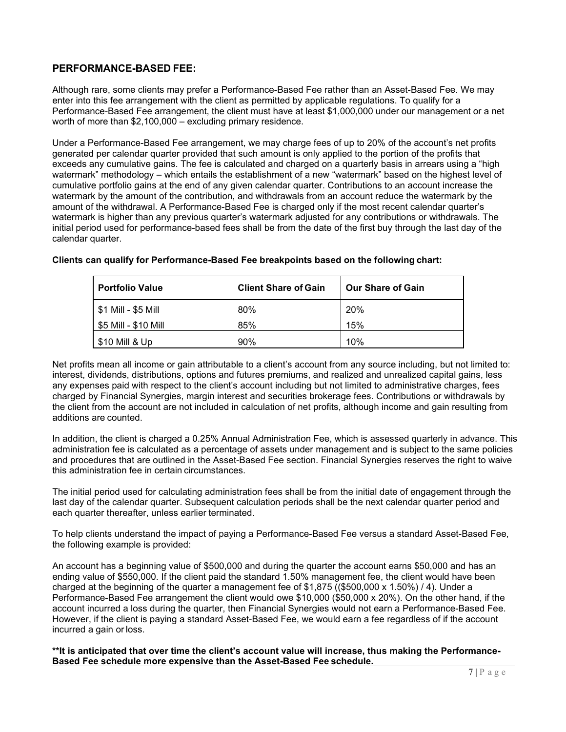### **PERFORMANCE-BASED FEE:**

Although rare, some clients may prefer a Performance-Based Fee rather than an Asset-Based Fee. We may enter into this fee arrangement with the client as permitted by applicable regulations. To qualify for a Performance-Based Fee arrangement, the client must have at least \$1,000,000 under our management or a net worth of more than \$2,100,000 – excluding primary residence.

Under a Performance-Based Fee arrangement, we may charge fees of up to 20% of the account's net profits generated per calendar quarter provided that such amount is only applied to the portion of the profits that exceeds any cumulative gains. The fee is calculated and charged on a quarterly basis in arrears using a "high watermark" methodology – which entails the establishment of a new "watermark" based on the highest level of cumulative portfolio gains at the end of any given calendar quarter. Contributions to an account increase the watermark by the amount of the contribution, and withdrawals from an account reduce the watermark by the amount of the withdrawal. A Performance-Based Fee is charged only if the most recent calendar quarter's watermark is higher than any previous quarter's watermark adjusted for any contributions or withdrawals. The initial period used for performance-based fees shall be from the date of the first buy through the last day of the calendar quarter.

| <b>Portfolio Value</b>            | <b>Client Share of Gain</b> | <b>Our Share of Gain</b> |
|-----------------------------------|-----------------------------|--------------------------|
| $\frac{1}{2}$ \$1 Mill - \$5 Mill | 80%                         | 20%                      |
| \$5 Mill - \$10 Mill              | 85%                         | 15%                      |
| $$10$ Mill & Up                   | 90%                         | 10%                      |

#### **Clients can qualify for Performance-Based Fee breakpoints based on the following chart:**

Net profits mean all income or gain attributable to a client's account from any source including, but not limited to: interest, dividends, distributions, options and futures premiums, and realized and unrealized capital gains, less any expenses paid with respect to the client's account including but not limited to administrative charges, fees charged by Financial Synergies, margin interest and securities brokerage fees. Contributions or withdrawals by the client from the account are not included in calculation of net profits, although income and gain resulting from additions are counted.

In addition, the client is charged a 0.25% Annual Administration Fee, which is assessed quarterly in advance. This administration fee is calculated as a percentage of assets under management and is subject to the same policies and procedures that are outlined in the Asset-Based Fee section. Financial Synergies reserves the right to waive this administration fee in certain circumstances.

The initial period used for calculating administration fees shall be from the initial date of engagement through the last day of the calendar quarter. Subsequent calculation periods shall be the next calendar quarter period and each quarter thereafter, unless earlier terminated.

To help clients understand the impact of paying a Performance-Based Fee versus a standard Asset-Based Fee, the following example is provided:

An account has a beginning value of \$500,000 and during the quarter the account earns \$50,000 and has an ending value of \$550,000. If the client paid the standard 1.50% management fee, the client would have been charged at the beginning of the quarter a management fee of  $$1,875$  ((\$500,000 x 1.50%) / 4). Under a Performance-Based Fee arrangement the client would owe \$10,000 (\$50,000 x 20%). On the other hand, if the account incurred a loss during the quarter, then Financial Synergies would not earn a Performance-Based Fee. However, if the client is paying a standard Asset-Based Fee, we would earn a fee regardless of if the account incurred a gain or loss.

**\*\*It is anticipated that over time the client's account value will increase, thus making the Performance-Based Fee schedule more expensive than the Asset-Based Fee schedule.**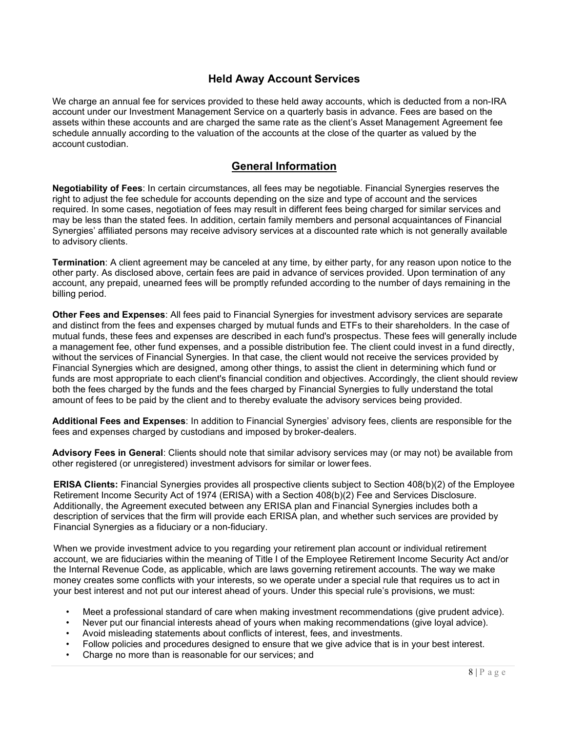### **Held Away Account Services**

We charge an annual fee for services provided to these held away accounts, which is deducted from a non-IRA account under our Investment Management Service on a quarterly basis in advance. Fees are based on the assets within these accounts and are charged the same rate as the client's Asset Management Agreement fee schedule annually according to the valuation of the accounts at the close of the quarter as valued by the account custodian.

### **General Information**

**Negotiability of Fees**: In certain circumstances, all fees may be negotiable. Financial Synergies reserves the right to adjust the fee schedule for accounts depending on the size and type of account and the services required. In some cases, negotiation of fees may result in different fees being charged for similar services and may be less than the stated fees. In addition, certain family members and personal acquaintances of Financial Synergies' affiliated persons may receive advisory services at a discounted rate which is not generally available to advisory clients.

**Termination**: A client agreement may be canceled at any time, by either party, for any reason upon notice to the other party. As disclosed above, certain fees are paid in advance of services provided. Upon termination of any account, any prepaid, unearned fees will be promptly refunded according to the number of days remaining in the billing period.

**Other Fees and Expenses**: All fees paid to Financial Synergies for investment advisory services are separate and distinct from the fees and expenses charged by mutual funds and ETFs to their shareholders. In the case of mutual funds, these fees and expenses are described in each fund's prospectus. These fees will generally include a management fee, other fund expenses, and a possible distribution fee. The client could invest in a fund directly, without the services of Financial Synergies. In that case, the client would not receive the services provided by Financial Synergies which are designed, among other things, to assist the client in determining which fund or funds are most appropriate to each client's financial condition and objectives. Accordingly, the client should review both the fees charged by the funds and the fees charged by Financial Synergies to fully understand the total amount of fees to be paid by the client and to thereby evaluate the advisory services being provided.

**Additional Fees and Expenses**: In addition to Financial Synergies' advisory fees, clients are responsible for the fees and expenses charged by custodians and imposed by broker-dealers.

**Advisory Fees in General**: Clients should note that similar advisory services may (or may not) be available from other registered (or unregistered) investment advisors for similar or lower fees.

**ERISA Clients:** Financial Synergies provides all prospective clients subject to Section 408(b)(2) of the Employee Retirement Income Security Act of 1974 (ERISA) with a Section 408(b)(2) Fee and Services Disclosure. Additionally, the Agreement executed between any ERISA plan and Financial Synergies includes both a description of services that the firm will provide each ERISA plan, and whether such services are provided by Financial Synergies as a fiduciary or a non-fiduciary.

When we provide investment advice to you regarding your retirement plan account or individual retirement account, we are fiduciaries within the meaning of Title I of the Employee Retirement Income Security Act and/or the Internal Revenue Code, as applicable, which are laws governing retirement accounts. The way we make money creates some conflicts with your interests, so we operate under a special rule that requires us to act in your best interest and not put our interest ahead of yours. Under this special rule's provisions, we must:

- Meet a professional standard of care when making investment recommendations (give prudent advice).
- Never put our financial interests ahead of yours when making recommendations (give loyal advice).
- Avoid misleading statements about conflicts of interest, fees, and investments.
- Follow policies and procedures designed to ensure that we give advice that is in your best interest.
- Charge no more than is reasonable for our services; and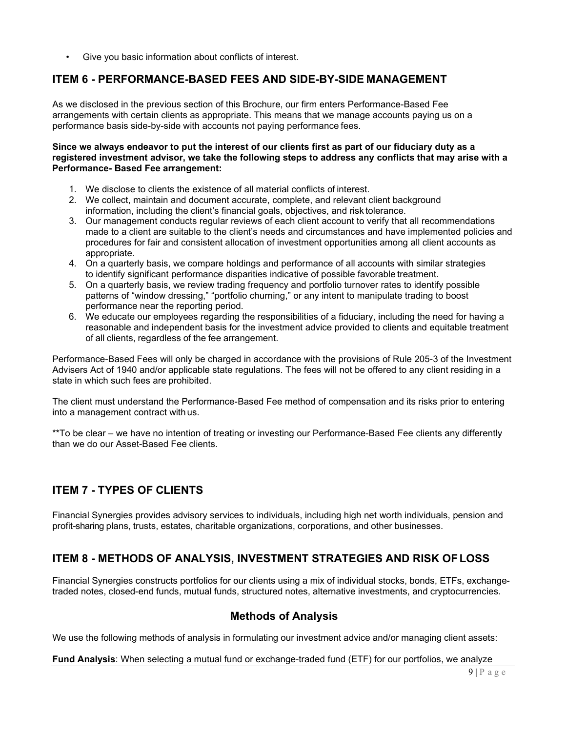Give you basic information about conflicts of interest.

### <span id="page-8-0"></span>**ITEM 6 - PERFORMANCE-BASED FEES AND SIDE-BY-SIDE MANAGEMENT**

As we disclosed in the previous section of this Brochure, our firm enters Performance-Based Fee arrangements with certain clients as appropriate. This means that we manage accounts paying us on a performance basis side-by-side with accounts not paying performance fees.

#### **Since we always endeavor to put the interest of our clients first as part of our fiduciary duty as a registered investment advisor, we take the following steps to address any conflicts that may arise with a Performance- Based Fee arrangement:**

- 1. We disclose to clients the existence of all material conflicts of interest.
- 2. We collect, maintain and document accurate, complete, and relevant client background information, including the client's financial goals, objectives, and risk tolerance.
- 3. Our management conducts regular reviews of each client account to verify that all recommendations made to a client are suitable to the client's needs and circumstances and have implemented policies and procedures for fair and consistent allocation of investment opportunities among all client accounts as appropriate.
- 4. On a quarterly basis, we compare holdings and performance of all accounts with similar strategies to identify significant performance disparities indicative of possible favorable treatment.
- 5. On a quarterly basis, we review trading frequency and portfolio turnover rates to identify possible patterns of "window dressing," "portfolio churning," or any intent to manipulate trading to boost performance near the reporting period.
- 6. We educate our employees regarding the responsibilities of a fiduciary, including the need for having a reasonable and independent basis for the investment advice provided to clients and equitable treatment of all clients, regardless of the fee arrangement.

Performance-Based Fees will only be charged in accordance with the provisions of Rule 205-3 of the Investment Advisers Act of 1940 and/or applicable state regulations. The fees will not be offered to any client residing in a state in which such fees are prohibited.

The client must understand the Performance-Based Fee method of compensation and its risks prior to entering into a management contract with us.

\*\*To be clear – we have no intention of treating or investing our Performance-Based Fee clients any differently than we do our Asset-Based Fee clients.

# <span id="page-8-1"></span>**ITEM 7 - TYPES OF CLIENTS**

Financial Synergies provides advisory services to individuals, including high net worth individuals, pension and profit-sharing plans, trusts, estates, charitable organizations, corporations, and other businesses.

# <span id="page-8-2"></span>**ITEM 8 - METHODS OF ANALYSIS, INVESTMENT STRATEGIES AND RISK OFLOSS**

Financial Synergies constructs portfolios for our clients using a mix of individual stocks, bonds, ETFs, exchangetraded notes, closed-end funds, mutual funds, structured notes, alternative investments, and cryptocurrencies.

# **Methods of Analysis**

We use the following methods of analysis in formulating our investment advice and/or managing client assets:

#### **Fund Analysis**: When selecting a mutual fund or exchange-traded fund (ETF) for our portfolios, we analyze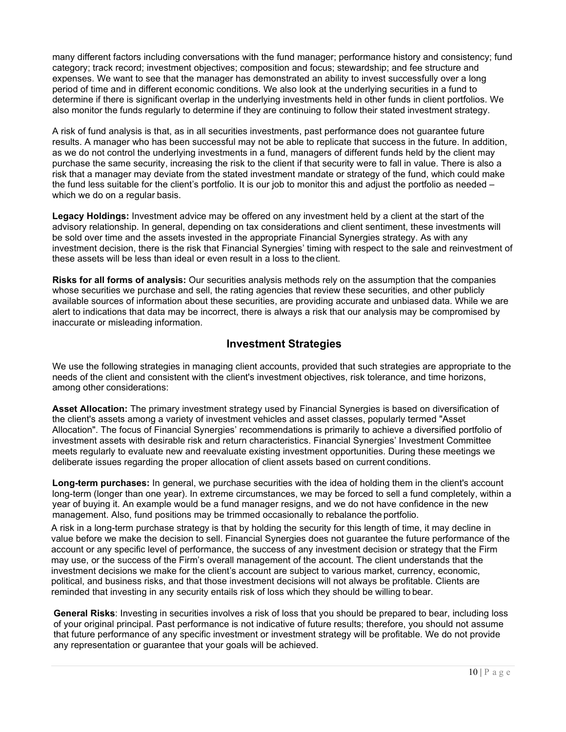many different factors including conversations with the fund manager; performance history and consistency; fund category; track record; investment objectives; composition and focus; stewardship; and fee structure and expenses. We want to see that the manager has demonstrated an ability to invest successfully over a long period of time and in different economic conditions. We also look at the underlying securities in a fund to determine if there is significant overlap in the underlying investments held in other funds in client portfolios. We also monitor the funds regularly to determine if they are continuing to follow their stated investment strategy.

A risk of fund analysis is that, as in all securities investments, past performance does not guarantee future results. A manager who has been successful may not be able to replicate that success in the future. In addition, as we do not control the underlying investments in a fund, managers of different funds held by the client may purchase the same security, increasing the risk to the client if that security were to fall in value. There is also a risk that a manager may deviate from the stated investment mandate or strategy of the fund, which could make the fund less suitable for the client's portfolio. It is our job to monitor this and adjust the portfolio as needed – which we do on a regular basis.

**Legacy Holdings:** Investment advice may be offered on any investment held by a client at the start of the advisory relationship. In general, depending on tax considerations and client sentiment, these investments will be sold over time and the assets invested in the appropriate Financial Synergies strategy. As with any investment decision, there is the risk that Financial Synergies' timing with respect to the sale and reinvestment of these assets will be less than ideal or even result in a loss to the client.

**Risks for all forms of analysis:** Our securities analysis methods rely on the assumption that the companies whose securities we purchase and sell, the rating agencies that review these securities, and other publicly available sources of information about these securities, are providing accurate and unbiased data. While we are alert to indications that data may be incorrect, there is always a risk that our analysis may be compromised by inaccurate or misleading information.

# **Investment Strategies**

We use the following strategies in managing client accounts, provided that such strategies are appropriate to the needs of the client and consistent with the client's investment objectives, risk tolerance, and time horizons, among other considerations:

**Asset Allocation:** The primary investment strategy used by Financial Synergies is based on diversification of the client's assets among a variety of investment vehicles and asset classes, popularly termed "Asset Allocation". The focus of Financial Synergies' recommendations is primarily to achieve a diversified portfolio of investment assets with desirable risk and return characteristics. Financial Synergies' Investment Committee meets regularly to evaluate new and reevaluate existing investment opportunities. During these meetings we deliberate issues regarding the proper allocation of client assets based on current conditions.

**Long-term purchases:** In general, we purchase securities with the idea of holding them in the client's account long-term (longer than one year). In extreme circumstances, we may be forced to sell a fund completely, within a year of buying it. An example would be a fund manager resigns, and we do not have confidence in the new management. Also, fund positions may be trimmed occasionally to rebalance the portfolio.

A risk in a long-term purchase strategy is that by holding the security for this length of time, it may decline in value before we make the decision to sell. Financial Synergies does not guarantee the future performance of the account or any specific level of performance, the success of any investment decision or strategy that the Firm may use, or the success of the Firm's overall management of the account. The client understands that the investment decisions we make for the client's account are subject to various market, currency, economic, political, and business risks, and that those investment decisions will not always be profitable. Clients are reminded that investing in any security entails risk of loss which they should be willing to bear.

**General Risks**: Investing in securities involves a risk of loss that you should be prepared to bear, including loss of your original principal. Past performance is not indicative of future results; therefore, you should not assume that future performance of any specific investment or investment strategy will be profitable. We do not provide any representation or guarantee that your goals will be achieved.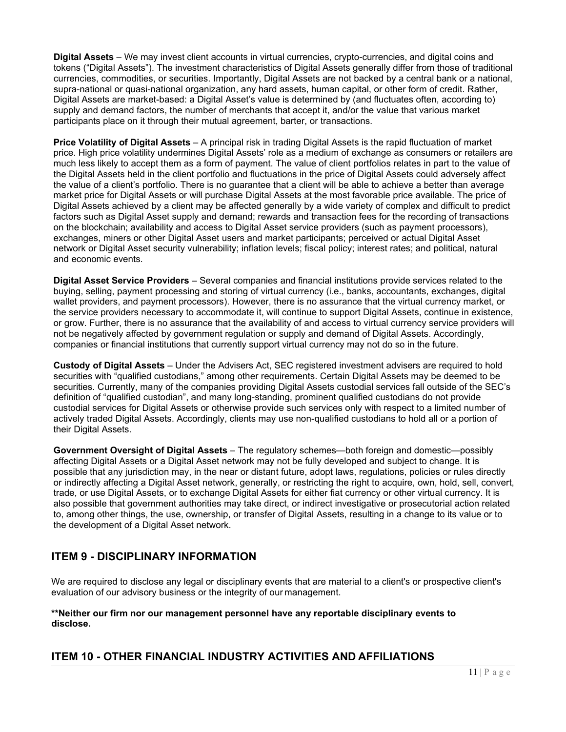**Digital Assets** – We may invest client accounts in virtual currencies, crypto-currencies, and digital coins and tokens ("Digital Assets"). The investment characteristics of Digital Assets generally differ from those of traditional currencies, commodities, or securities. Importantly, Digital Assets are not backed by a central bank or a national, supra-national or quasi-national organization, any hard assets, human capital, or other form of credit. Rather, Digital Assets are market-based: a Digital Asset's value is determined by (and fluctuates often, according to) supply and demand factors, the number of merchants that accept it, and/or the value that various market participants place on it through their mutual agreement, barter, or transactions.

**Price Volatility of Digital Assets** – A principal risk in trading Digital Assets is the rapid fluctuation of market price. High price volatility undermines Digital Assets' role as a medium of exchange as consumers or retailers are much less likely to accept them as a form of payment. The value of client portfolios relates in part to the value of the Digital Assets held in the client portfolio and fluctuations in the price of Digital Assets could adversely affect the value of a client's portfolio. There is no guarantee that a client will be able to achieve a better than average market price for Digital Assets or will purchase Digital Assets at the most favorable price available. The price of Digital Assets achieved by a client may be affected generally by a wide variety of complex and difficult to predict factors such as Digital Asset supply and demand; rewards and transaction fees for the recording of transactions on the blockchain; availability and access to Digital Asset service providers (such as payment processors), exchanges, miners or other Digital Asset users and market participants; perceived or actual Digital Asset network or Digital Asset security vulnerability; inflation levels; fiscal policy; interest rates; and political, natural and economic events.

**Digital Asset Service Providers** – Several companies and financial institutions provide services related to the buying, selling, payment processing and storing of virtual currency (i.e., banks, accountants, exchanges, digital wallet providers, and payment processors). However, there is no assurance that the virtual currency market, or the service providers necessary to accommodate it, will continue to support Digital Assets, continue in existence, or grow. Further, there is no assurance that the availability of and access to virtual currency service providers will not be negatively affected by government regulation or supply and demand of Digital Assets. Accordingly, companies or financial institutions that currently support virtual currency may not do so in the future.

**Custody of Digital Assets** – Under the Advisers Act, SEC registered investment advisers are required to hold securities with "qualified custodians," among other requirements. Certain Digital Assets may be deemed to be securities. Currently, many of the companies providing Digital Assets custodial services fall outside of the SEC's definition of "qualified custodian", and many long-standing, prominent qualified custodians do not provide custodial services for Digital Assets or otherwise provide such services only with respect to a limited number of actively traded Digital Assets. Accordingly, clients may use non-qualified custodians to hold all or a portion of their Digital Assets.

**Government Oversight of Digital Assets** – The regulatory schemes—both foreign and domestic—possibly affecting Digital Assets or a Digital Asset network may not be fully developed and subject to change. It is possible that any jurisdiction may, in the near or distant future, adopt laws, regulations, policies or rules directly or indirectly affecting a Digital Asset network, generally, or restricting the right to acquire, own, hold, sell, convert, trade, or use Digital Assets, or to exchange Digital Assets for either fiat currency or other virtual currency. It is also possible that government authorities may take direct, or indirect investigative or prosecutorial action related to, among other things, the use, ownership, or transfer of Digital Assets, resulting in a change to its value or to the development of a Digital Asset network.

# <span id="page-10-0"></span>**ITEM 9 - DISCIPLINARY INFORMATION**

We are required to disclose any legal or disciplinary events that are material to a client's or prospective client's evaluation of our advisory business or the integrity of our management.

#### **\*\*Neither our firm nor our management personnel have any reportable disciplinary events to disclose.**

# <span id="page-10-1"></span>**ITEM 10 - OTHER FINANCIAL INDUSTRY ACTIVITIES AND AFFILIATIONS**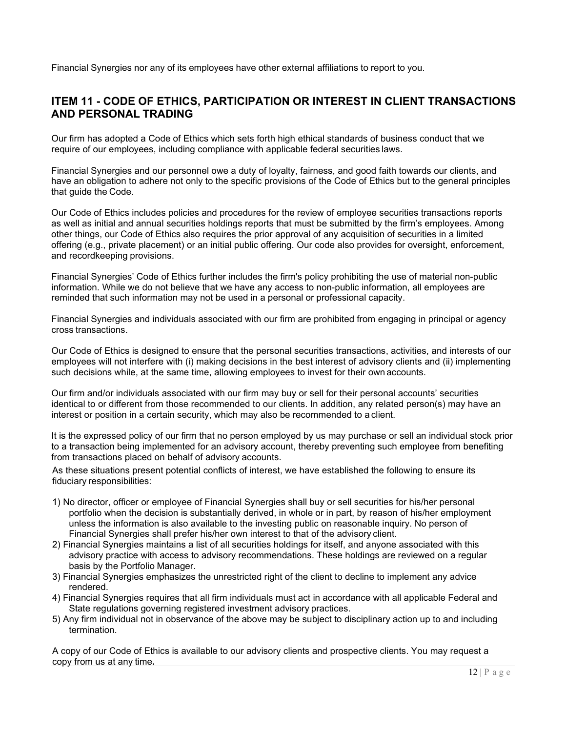Financial Synergies nor any of its employees have other external affiliations to report to you.

# <span id="page-11-0"></span>**ITEM 11 - CODE OF ETHICS, PARTICIPATION OR INTEREST IN CLIENT TRANSACTIONS AND PERSONAL TRADING**

Our firm has adopted a Code of Ethics which sets forth high ethical standards of business conduct that we require of our employees, including compliance with applicable federal securities laws.

Financial Synergies and our personnel owe a duty of loyalty, fairness, and good faith towards our clients, and have an obligation to adhere not only to the specific provisions of the Code of Ethics but to the general principles that guide the Code.

Our Code of Ethics includes policies and procedures for the review of employee securities transactions reports as well as initial and annual securities holdings reports that must be submitted by the firm's employees. Among other things, our Code of Ethics also requires the prior approval of any acquisition of securities in a limited offering (e.g., private placement) or an initial public offering. Our code also provides for oversight, enforcement, and recordkeeping provisions.

Financial Synergies' Code of Ethics further includes the firm's policy prohibiting the use of material non-public information. While we do not believe that we have any access to non-public information, all employees are reminded that such information may not be used in a personal or professional capacity.

Financial Synergies and individuals associated with our firm are prohibited from engaging in principal or agency cross transactions.

Our Code of Ethics is designed to ensure that the personal securities transactions, activities, and interests of our employees will not interfere with (i) making decisions in the best interest of advisory clients and (ii) implementing such decisions while, at the same time, allowing employees to invest for their own accounts.

Our firm and/or individuals associated with our firm may buy or sell for their personal accounts' securities identical to or different from those recommended to our clients. In addition, any related person(s) may have an interest or position in a certain security, which may also be recommended to a client.

It is the expressed policy of our firm that no person employed by us may purchase or sell an individual stock prior to a transaction being implemented for an advisory account, thereby preventing such employee from benefiting from transactions placed on behalf of advisory accounts.

As these situations present potential conflicts of interest, we have established the following to ensure its fiduciary responsibilities:

- 1) No director, officer or employee of Financial Synergies shall buy or sell securities for his/her personal portfolio when the decision is substantially derived, in whole or in part, by reason of his/her employment unless the information is also available to the investing public on reasonable inquiry. No person of Financial Synergies shall prefer his/her own interest to that of the advisory client.
- 2) Financial Synergies maintains a list of all securities holdings for itself, and anyone associated with this advisory practice with access to advisory recommendations. These holdings are reviewed on a regular basis by the Portfolio Manager.
- 3) Financial Synergies emphasizes the unrestricted right of the client to decline to implement any advice rendered.
- 4) Financial Synergies requires that all firm individuals must act in accordance with all applicable Federal and State regulations governing registered investment advisory practices.
- 5) Any firm individual not in observance of the above may be subject to disciplinary action up to and including termination.

A copy of our Code of Ethics is available to our advisory clients and prospective clients. You may request a copy from us at any time**.**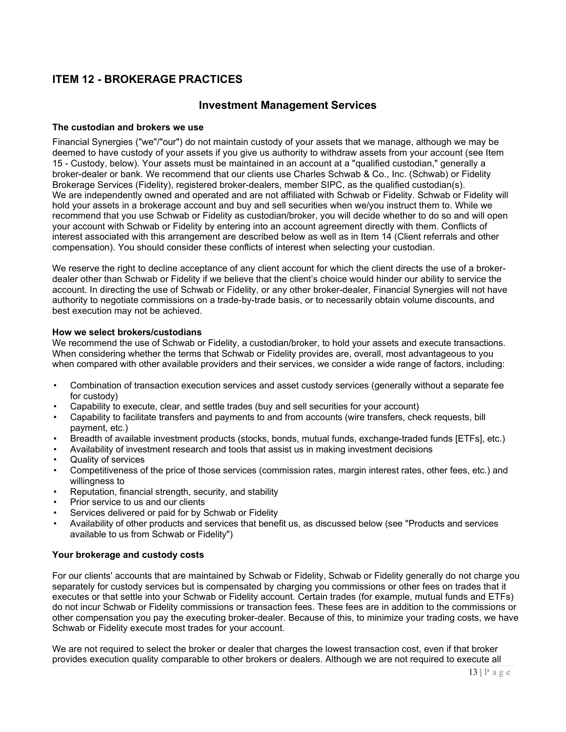# <span id="page-12-0"></span>**ITEM 12 - BROKERAGE PRACTICES**

### **Investment Management Services**

#### **The custodian and brokers we use**

Financial Synergies ("we"/"our") do not maintain custody of your assets that we manage, although we may be deemed to have custody of your assets if you give us authority to withdraw assets from your account (see Item 15 - Custody, below). Your assets must be maintained in an account at a "qualified custodian," generally a broker-dealer or bank. We recommend that our clients use Charles Schwab & Co., Inc. (Schwab) or Fidelity Brokerage Services (Fidelity), registered broker-dealers, member SIPC, as the qualified custodian(s). We are independently owned and operated and are not affiliated with Schwab or Fidelity. Schwab or Fidelity will hold your assets in a brokerage account and buy and sell securities when we/you instruct them to. While we recommend that you use Schwab or Fidelity as custodian/broker, you will decide whether to do so and will open your account with Schwab or Fidelity by entering into an account agreement directly with them. Conflicts of interest associated with this arrangement are described below as well as in Item 14 (Client referrals and other compensation). You should consider these conflicts of interest when selecting your custodian.

We reserve the right to decline acceptance of any client account for which the client directs the use of a brokerdealer other than Schwab or Fidelity if we believe that the client's choice would hinder our ability to service the account. In directing the use of Schwab or Fidelity, or any other broker-dealer, Financial Synergies will not have authority to negotiate commissions on a trade-by-trade basis, or to necessarily obtain volume discounts, and best execution may not be achieved.

#### **How we select brokers/custodians**

We recommend the use of Schwab or Fidelity, a custodian/broker, to hold your assets and execute transactions. When considering whether the terms that Schwab or Fidelity provides are, overall, most advantageous to you when compared with other available providers and their services, we consider a wide range of factors, including:

- Combination of transaction execution services and asset custody services (generally without a separate fee for custody)
- Capability to execute, clear, and settle trades (buy and sell securities for your account)
- Capability to facilitate transfers and payments to and from accounts (wire transfers, check requests, bill payment, etc.)
- Breadth of available investment products (stocks, bonds, mutual funds, exchange-traded funds [ETFs], etc.)
- Availability of investment research and tools that assist us in making investment decisions
- Quality of services
- Competitiveness of the price of those services (commission rates, margin interest rates, other fees, etc.) and willingness to
- Reputation, financial strength, security, and stability
- Prior service to us and our clients
- Services delivered or paid for by Schwab or Fidelity
- Availability of other products and services that benefit us, as discussed below (see "Products and services available to us from Schwab or Fidelity")

#### **Your brokerage and custody costs**

For our clients' accounts that are maintained by Schwab or Fidelity, Schwab or Fidelity generally do not charge you separately for custody services but is compensated by charging you commissions or other fees on trades that it executes or that settle into your Schwab or Fidelity account. Certain trades (for example, mutual funds and ETFs) do not incur Schwab or Fidelity commissions or transaction fees. These fees are in addition to the commissions or other compensation you pay the executing broker-dealer. Because of this, to minimize your trading costs, we have Schwab or Fidelity execute most trades for your account.

We are not required to select the broker or dealer that charges the lowest transaction cost, even if that broker provides execution quality comparable to other brokers or dealers. Although we are not required to execute all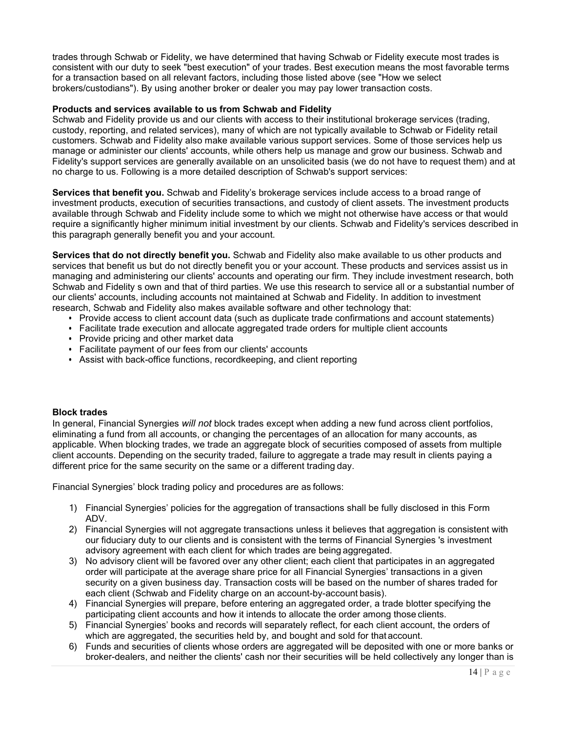trades through Schwab or Fidelity, we have determined that having Schwab or Fidelity execute most trades is consistent with our duty to seek "best execution" of your trades. Best execution means the most favorable terms for a transaction based on all relevant factors, including those listed above (see "How we select brokers/custodians"). By using another broker or dealer you may pay lower transaction costs.

#### **Products and services available to us from Schwab and Fidelity**

Schwab and Fidelity provide us and our clients with access to their institutional brokerage services (trading, custody, reporting, and related services), many of which are not typically available to Schwab or Fidelity retail customers. Schwab and Fidelity also make available various support services. Some of those services help us manage or administer our clients' accounts, while others help us manage and grow our business. Schwab and Fidelity's support services are generally available on an unsolicited basis (we do not have to request them) and at no charge to us. Following is a more detailed description of Schwab's support services:

**Services that benefit you.** Schwab and Fidelity's brokerage services include access to a broad range of investment products, execution of securities transactions, and custody of client assets. The investment products available through Schwab and Fidelity include some to which we might not otherwise have access or that would require a significantly higher minimum initial investment by our clients. Schwab and Fidelity's services described in this paragraph generally benefit you and your account.

**Services that do not directly benefit you.** Schwab and Fidelity also make available to us other products and services that benefit us but do not directly benefit you or your account. These products and services assist us in managing and administering our clients' accounts and operating our firm. They include investment research, both Schwab and Fidelity s own and that of third parties. We use this research to service all or a substantial number of our clients' accounts, including accounts not maintained at Schwab and Fidelity. In addition to investment research, Schwab and Fidelity also makes available software and other technology that:

- Provide access to client account data (such as duplicate trade confirmations and account statements)
- Facilitate trade execution and allocate aggregated trade orders for multiple client accounts
- Provide pricing and other market data
- Facilitate payment of our fees from our clients' accounts
- Assist with back-office functions, recordkeeping, and client reporting

#### **Block trades**

In general, Financial Synergies *will not* block trades except when adding a new fund across client portfolios, eliminating a fund from all accounts, or changing the percentages of an allocation for many accounts, as applicable. When blocking trades, we trade an aggregate block of securities composed of assets from multiple client accounts. Depending on the security traded, failure to aggregate a trade may result in clients paying a different price for the same security on the same or a different trading day.

Financial Synergies' block trading policy and procedures are as follows:

- 1) Financial Synergies' policies for the aggregation of transactions shall be fully disclosed in this Form ADV.
- 2) Financial Synergies will not aggregate transactions unless it believes that aggregation is consistent with our fiduciary duty to our clients and is consistent with the terms of Financial Synergies 's investment advisory agreement with each client for which trades are being aggregated.
- 3) No advisory client will be favored over any other client; each client that participates in an aggregated order will participate at the average share price for all Financial Synergies' transactions in a given security on a given business day. Transaction costs will be based on the number of shares traded for each client (Schwab and Fidelity charge on an account-by-account basis).
- 4) Financial Synergies will prepare, before entering an aggregated order, a trade blotter specifying the participating client accounts and how it intends to allocate the order among those clients.
- 5) Financial Synergies' books and records will separately reflect, for each client account, the orders of which are aggregated, the securities held by, and bought and sold for that account.
- 6) Funds and securities of clients whose orders are aggregated will be deposited with one or more banks or broker-dealers, and neither the clients' cash nor their securities will be held collectively any longer than is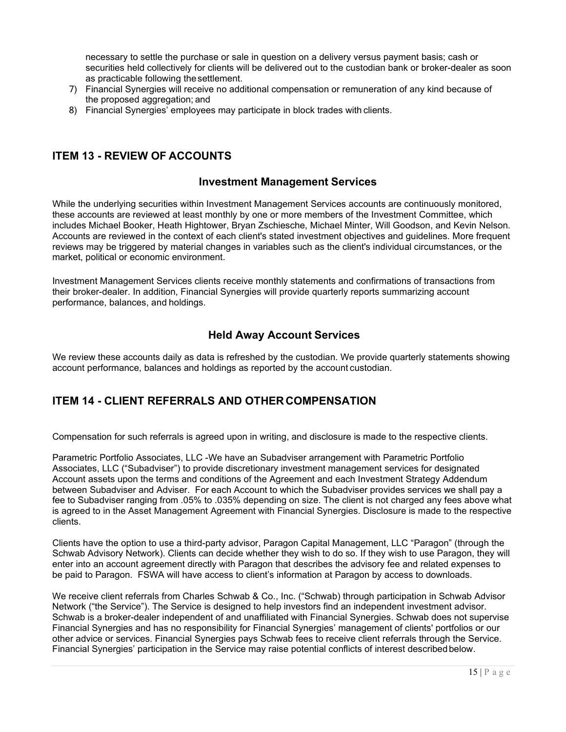necessary to settle the purchase or sale in question on a delivery versus payment basis; cash or securities held collectively for clients will be delivered out to the custodian bank or broker-dealer as soon as practicable following thesettlement.

- 7) Financial Synergies will receive no additional compensation or remuneration of any kind because of the proposed aggregation; and
- 8) Financial Synergies' employees may participate in block trades with clients.

### <span id="page-14-0"></span>**ITEM 13 - REVIEW OF ACCOUNTS**

### **Investment Management Services**

While the underlying securities within Investment Management Services accounts are continuously monitored, these accounts are reviewed at least monthly by one or more members of the Investment Committee, which includes Michael Booker, Heath Hightower, Bryan Zschiesche, Michael Minter, Will Goodson, and Kevin Nelson. Accounts are reviewed in the context of each client's stated investment objectives and guidelines. More frequent reviews may be triggered by material changes in variables such as the client's individual circumstances, or the market, political or economic environment.

Investment Management Services clients receive monthly statements and confirmations of transactions from their broker-dealer. In addition, Financial Synergies will provide quarterly reports summarizing account performance, balances, and holdings.

### **Held Away Account Services**

We review these accounts daily as data is refreshed by the custodian. We provide quarterly statements showing account performance, balances and holdings as reported by the account custodian.

# <span id="page-14-1"></span>**ITEM 14 - CLIENT REFERRALS AND OTHER COMPENSATION**

Compensation for such referrals is agreed upon in writing, and disclosure is made to the respective clients.

Parametric Portfolio Associates, LLC -We have an Subadviser arrangement with Parametric Portfolio Associates, LLC ("Subadviser") to provide discretionary investment management services for designated Account assets upon the terms and conditions of the Agreement and each Investment Strategy Addendum between Subadviser and Adviser. For each Account to which the Subadviser provides services we shall pay a fee to Subadviser ranging from .05% to .035% depending on size. The client is not charged any fees above what is agreed to in the Asset Management Agreement with Financial Synergies. Disclosure is made to the respective clients.

Clients have the option to use a third-party advisor, Paragon Capital Management, LLC "Paragon" (through the Schwab Advisory Network). Clients can decide whether they wish to do so. If they wish to use Paragon, they will enter into an account agreement directly with Paragon that describes the advisory fee and related expenses to be paid to Paragon. FSWA will have access to client's information at Paragon by access to downloads.

We receive client referrals from Charles Schwab & Co., Inc. ("Schwab) through participation in Schwab Advisor Network ("the Service"). The Service is designed to help investors find an independent investment advisor. Schwab is a broker-dealer independent of and unaffiliated with Financial Synergies. Schwab does not supervise Financial Synergies and has no responsibility for Financial Synergies' management of clients' portfolios or our other advice or services. Financial Synergies pays Schwab fees to receive client referrals through the Service. Financial Synergies' participation in the Service may raise potential conflicts of interest describedbelow.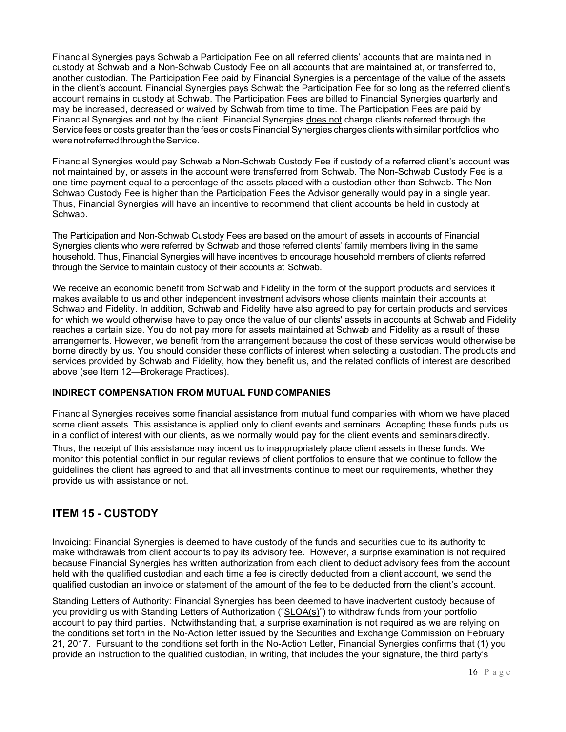Financial Synergies pays Schwab a Participation Fee on all referred clients' accounts that are maintained in custody at Schwab and a Non-Schwab Custody Fee on all accounts that are maintained at, or transferred to, another custodian. The Participation Fee paid by Financial Synergies is a percentage of the value of the assets in the client's account. Financial Synergies pays Schwab the Participation Fee for so long as the referred client's account remains in custody at Schwab. The Participation Fees are billed to Financial Synergies quarterly and may be increased, decreased or waived by Schwab from time to time. The Participation Fees are paid by Financial Synergies and not by the client. Financial Synergies does not charge clients referred through the Service fees or costs greaterthan the fees or costs Financial Synergies charges clients with similar portfolios who were not referred through the Service.

Financial Synergies would pay Schwab a Non-Schwab Custody Fee if custody of a referred client's account was not maintained by, or assets in the account were transferred from Schwab. The Non-Schwab Custody Fee is a one-time payment equal to a percentage of the assets placed with a custodian other than Schwab. The Non-Schwab Custody Fee is higher than the Participation Fees the Advisor generally would pay in a single year. Thus, Financial Synergies will have an incentive to recommend that client accounts be held in custody at Schwab.

The Participation and Non-Schwab Custody Fees are based on the amount of assets in accounts of Financial Synergies clients who were referred by Schwab and those referred clients' family members living in the same household. Thus, Financial Synergies will have incentives to encourage household members of clients referred through the Service to maintain custody of their accounts at Schwab.

We receive an economic benefit from Schwab and Fidelity in the form of the support products and services it makes available to us and other independent investment advisors whose clients maintain their accounts at Schwab and Fidelity. In addition, Schwab and Fidelity have also agreed to pay for certain products and services for which we would otherwise have to pay once the value of our clients' assets in accounts at Schwab and Fidelity reaches a certain size. You do not pay more for assets maintained at Schwab and Fidelity as a result of these arrangements. However, we benefit from the arrangement because the cost of these services would otherwise be borne directly by us. You should consider these conflicts of interest when selecting a custodian. The products and services provided by Schwab and Fidelity, how they benefit us, and the related conflicts of interest are described above (see Item 12—Brokerage Practices).

#### **INDIRECT COMPENSATION FROM MUTUAL FUND COMPANIES**

Financial Synergies receives some financial assistance from mutual fund companies with whom we have placed some client assets. This assistance is applied only to client events and seminars. Accepting these funds puts us in a conflict of interest with our clients, as we normally would pay for the client events and seminarsdirectly.

Thus, the receipt of this assistance may incent us to inappropriately place client assets in these funds. We monitor this potential conflict in our regular reviews of client portfolios to ensure that we continue to follow the guidelines the client has agreed to and that all investments continue to meet our requirements, whether they provide us with assistance or not.

# <span id="page-15-0"></span>**ITEM 15 - CUSTODY**

Invoicing: Financial Synergies is deemed to have custody of the funds and securities due to its authority to make withdrawals from client accounts to pay its advisory fee. However, a surprise examination is not required because Financial Synergies has written authorization from each client to deduct advisory fees from the account held with the qualified custodian and each time a fee is directly deducted from a client account, we send the qualified custodian an invoice or statement of the amount of the fee to be deducted from the client's account.

Standing Letters of Authority: Financial Synergies has been deemed to have inadvertent custody because of you providing us with Standing Letters of Authorization ("SLOA(s)") to withdraw funds from your portfolio account to pay third parties. Notwithstanding that, a surprise examination is not required as we are relying on the conditions set forth in the No-Action letter issued by the Securities and Exchange Commission on February 21, 2017. Pursuant to the conditions set forth in the No-Action Letter, Financial Synergies confirms that (1) you provide an instruction to the qualified custodian, in writing, that includes the your signature, the third party's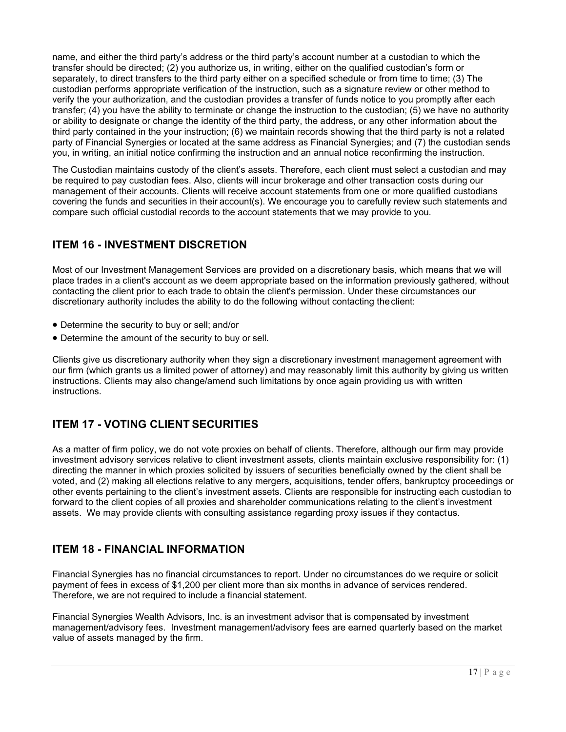name, and either the third party's address or the third party's account number at a custodian to which the transfer should be directed; (2) you authorize us, in writing, either on the qualified custodian's form or separately, to direct transfers to the third party either on a specified schedule or from time to time; (3) The custodian performs appropriate verification of the instruction, such as a signature review or other method to verify the your authorization, and the custodian provides a transfer of funds notice to you promptly after each transfer; (4) you have the ability to terminate or change the instruction to the custodian; (5) we have no authority or ability to designate or change the identity of the third party, the address, or any other information about the third party contained in the your instruction; (6) we maintain records showing that the third party is not a related party of Financial Synergies or located at the same address as Financial Synergies; and (7) the custodian sends you, in writing, an initial notice confirming the instruction and an annual notice reconfirming the instruction.

The Custodian maintains custody of the client's assets. Therefore, each client must select a custodian and may be required to pay custodian fees. Also, clients will incur brokerage and other transaction costs during our management of their accounts. Clients will receive account statements from one or more qualified custodians covering the funds and securities in their account(s). We encourage you to carefully review such statements and compare such official custodial records to the account statements that we may provide to you.

# <span id="page-16-0"></span>**ITEM 16 - INVESTMENT DISCRETION**

Most of our Investment Management Services are provided on a discretionary basis, which means that we will place trades in a client's account as we deem appropriate based on the information previously gathered, without contacting the client prior to each trade to obtain the client's permission. Under these circumstances our discretionary authority includes the ability to do the following without contacting theclient:

- Determine the security to buy or sell; and/or
- Determine the amount of the security to buy or sell.

Clients give us discretionary authority when they sign a discretionary investment management agreement with our firm (which grants us a limited power of attorney) and may reasonably limit this authority by giving us written instructions. Clients may also change/amend such limitations by once again providing us with written instructions.

# <span id="page-16-1"></span>**ITEM 17 - VOTING CLIENT SECURITIES**

As a matter of firm policy, we do not vote proxies on behalf of clients. Therefore, although our firm may provide investment advisory services relative to client investment assets, clients maintain exclusive responsibility for: (1) directing the manner in which proxies solicited by issuers of securities beneficially owned by the client shall be voted, and (2) making all elections relative to any mergers, acquisitions, tender offers, bankruptcy proceedings or other events pertaining to the client's investment assets. Clients are responsible for instructing each custodian to forward to the client copies of all proxies and shareholder communications relating to the client's investment assets. We may provide clients with consulting assistance regarding proxy issues if they contactus.

# <span id="page-16-2"></span>**ITEM 18 - FINANCIAL INFORMATION**

Financial Synergies has no financial circumstances to report. Under no circumstances do we require or solicit payment of fees in excess of \$1,200 per client more than six months in advance of services rendered. Therefore, we are not required to include a financial statement.

Financial Synergies Wealth Advisors, Inc. is an investment advisor that is compensated by investment management/advisory fees. Investment management/advisory fees are earned quarterly based on the market value of assets managed by the firm.